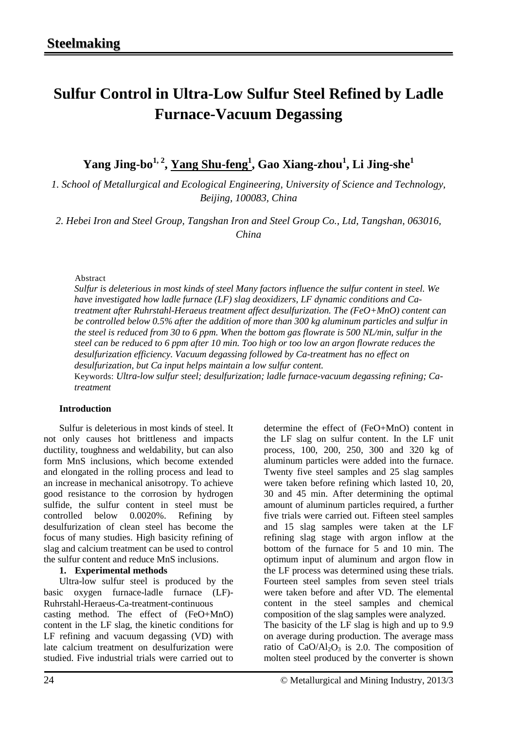# **Sulfur Control in Ultra-Low Sulfur Steel Refined by Ladle Furnace-Vacuum Degassing**

 $\bold{Yang\ Jing\text{-}bo}^{1,\,2},\bold{Yang\ Shu\text{-}feng}^{1}, \bold{Gao\ Xiang\text{-}zhou}^{1}, \bold{Li\ Jing\text{-}she}^{1}$ 

*1. School of Metallurgical and Ecological Engineering, University of Science and Technology, Beijing, 100083, China*

*2. Hebei Iron and Steel Group, Tangshan Iron and Steel Group Co., Ltd, Tangshan, 063016, China*

Abstract

*Sulfur is deleterious in most kinds of steel Many factors influence the sulfur content in steel. We have investigated how ladle furnace (LF) slag deoxidizers, LF dynamic conditions and Catreatment after Ruhrstahl-Heraeus treatment affect desulfurization. The (FeO+MnO) content can be controlled below 0.5% after the addition of more than 300 kg aluminum particles and sulfur in the steel is reduced from 30 to 6 ppm. When the bottom gas flowrate is 500 NL/min, sulfur in the steel can be reduced to 6 ppm after 10 min. Too high or too low an argon flowrate reduces the desulfurization efficiency. Vacuum degassing followed by Ca-treatment has no effect on desulfurization, but Ca input helps maintain a low sulfur content.*

Keywords: *Ultra-low sulfur steel; desulfurization; ladle furnace-vacuum degassing refining; Catreatment*

### **Introduction**

Sulfur is deleterious in most kinds of steel. It not only causes hot brittleness and impacts ductility, toughness and [weldability,](javascript:showjdsw() but can also form MnS inclusions, which become extended and elongated in the rolling process and lead to an increase in mechanical [anisotropy.](javascript:showjdsw() To achieve good resistance to the corrosion by hydrogen sulfide, the sulfur content in steel must be controlled below 0.0020%. Refining by desulfurization of clean steel has become the focus of many studies. High basicity refining of slag and calcium treatment can be used to control the sulfur content and reduce MnS inclusions.

## **1. Experimental methods**

Ultra-low sulfur steel is produced by the basic oxygen furnace-ladle furnace (LF)- Ruhrstahl-Heraeus-Ca-treatment-continuous casting method. The effect of (FeO+MnO) content in the LF slag, the kinetic conditions for LF refining and vacuum degassing (VD) with late calcium treatment on desulfurization were studied. Five industrial trials were carried out to determine the effect of (FeO+MnO) content in the LF slag on sulfur content. In the LF unit process, 100, 200, 250, 300 and 320 kg of aluminum particles were added into the furnace. Twenty five steel samples and 25 slag samples were taken before refining which lasted 10, 20, 30 and 45 min. After determining the optimal amount of aluminum particles required, a further five trials were carried out. Fifteen steel samples and 15 slag samples were taken at the LF refining slag stage with argon inflow at the bottom of the furnace for 5 and 10 min. The [optimum input](javascript:showjdsw() of aluminum and argon flow in the LF process was determined using these trials. Fourteen steel samples from seven steel trials were taken before and after VD. The elemental content in the steel samples and chemical composition of the slag samples were analyzed. The basicity of the LF slag is high and up to 9.9 on average during production. The average mass ratio of  $CaO/Al<sub>2</sub>O<sub>3</sub>$  is 2.0. The composition of molten steel produced by the converter is shown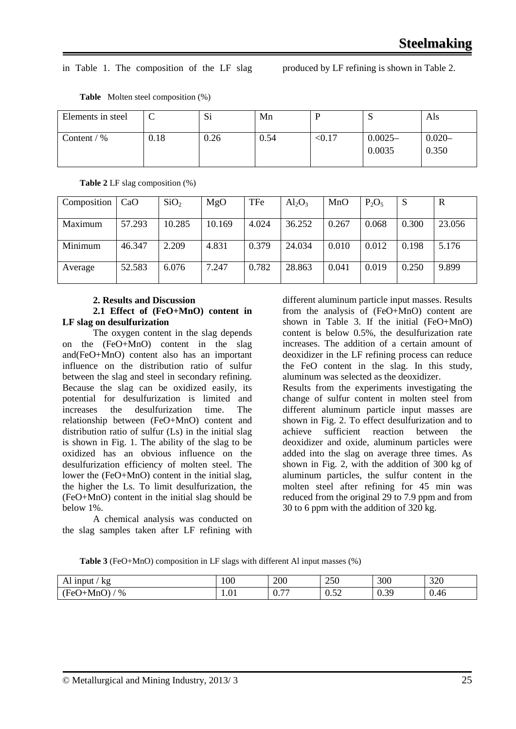#### in Table 1. The composition of the LF slag produced by LF refining is shown in Table 2.

| Elements in steel |      | $\sim$<br>$\mathbf{S}1$ | Mn   |        | ∼                   | Als                |
|-------------------|------|-------------------------|------|--------|---------------------|--------------------|
| Content / $%$     | 0.18 | 0.26                    | 0.54 | < 0.17 | $0.0025-$<br>0.0035 | $0.020 -$<br>0.350 |

**Table** Molten steel composition (%)

**Table 2** LF slag composition (%)

| Composition | CaO    | SiO <sub>2</sub> | MgO    | TFe   | $Al_2O_3$ | MnO   | $P_2O_5$ | S     | R      |
|-------------|--------|------------------|--------|-------|-----------|-------|----------|-------|--------|
| Maximum     | 57.293 | 10.285           | 10.169 | 4.024 | 36.252    | 0.267 | 0.068    | 0.300 | 23.056 |
| Minimum     | 46.347 | 2.209            | 4.831  | 0.379 | 24.034    | 0.010 | 0.012    | 0.198 | 5.176  |
| Average     | 52.583 | 6.076            | 7.247  | 0.782 | 28.863    | 0.041 | 0.019    | 0.250 | 9.899  |

#### **2. Results and Discussion 2.1 Effect of (FeO+MnO) content in**

## **LF slag on desulfurization**

The oxygen content in the slag depends on the (FeO+MnO) content in the slag and(FeO+MnO) content also has an important influence on the distribution ratio of sulfur between the slag and steel in secondary refining. Because the slag can be oxidized easily, its potential for [desulfurization](http://dict.cnki.net/dict_result.aspx?searchword=%e8%84%b1%e7%a1%ab%e8%83%bd%e5%8a%9b&tjType=sentence&style=&t=desulphurization+ability) is limited and increases the desulfurization time. The relationship between (FeO+MnO) content and distribution ratio of sulfur (Ls) in the initial slag is shown in Fig. 1. The ability of the slag to be [oxidized](http://dict.cnki.net/dict_result.aspx?searchword=%e6%b0%a7%e5%8c%96%e6%80%a7&tjType=sentence&style=&t=oxidizability) has an obvious influence on the desulfurization efficiency of molten steel. The lower the (FeO+MnO) content in the initial slag, the higher the Ls. To limit desulfurization, the (FeO+MnO) content in the initial slag should be below 1%.

A chemical [analysis](http://dict.cnki.net/dict_result.aspx?searchword=%e5%8c%96%e5%ad%a6%e5%88%86%e6%9e%90&tjType=sentence&style=&t=chemical+analysis) was conducted on the slag samples taken after LF refining with

different aluminum particle input masses. Results from the [analysis](http://dict.cnki.net/dict_result.aspx?searchword=%e5%8c%96%e5%ad%a6%e5%88%86%e6%9e%90&tjType=sentence&style=&t=chemical+analysis) of (FeO+MnO) content are shown in Table 3. If the initial (FeO+MnO) content is below 0.5%, the desulfurization rate increases. The addition of [a certain amount of](app:ds:a%20%20certain%20amount%20of) deoxidizer in the LF refining process can reduce the FeO content in the slag. In this study, aluminum was selected as the deoxidizer.

Results from the experiments investigating the change of sulfur content in molten steel from different aluminum particle input masses are shown in Fig. 2. To effect desulfurization and to<br>achieve sufficient reaction between the sufficient reaction between the deoxidizer and oxide, aluminum particles were added into the slag on average three times. As shown in Fig. 2, with the addition of 300 kg of aluminum particles, the sulfur content in the molten steel after refining for 45 min was reduced from the original 29 to 7.9 ppm and from 30 to 6 ppm with the addition of 320 kg.

**Table 3** (FeO+MnO) composition in LF slags with different Al input masses (%)

| kg<br>1nput<br>ப                                            | 100            | 200                                                     | 250                               | 300                                     | 320                |
|-------------------------------------------------------------|----------------|---------------------------------------------------------|-----------------------------------|-----------------------------------------|--------------------|
| $\overline{\phantom{0}}$<br>$\%$<br>$H\Omega'$<br>-MnC<br>w | $\sim$<br>1.UI | $\overline{\phantom{0}}$<br>$\mathsf{U}\cdot\mathsf{I}$ | $\sim$ $\sim$<br>$\Omega$<br>0.34 | 30<br>$\mathsf{U}\cdot\mathsf{U}\times$ | $\sqrt{ }$<br>0.46 |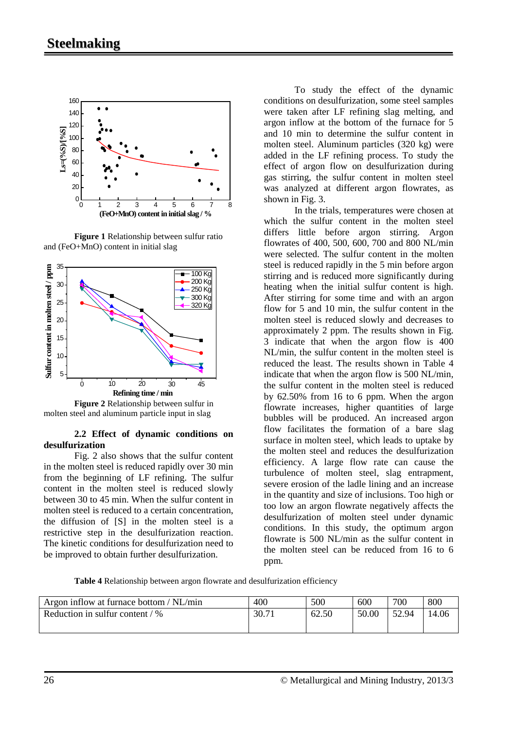

**Figure 1** Relationship between sulfur ratio and (FeO+MnO) content in initial slag



**Figure 2** Relationship between sulfur in molten steel and aluminum particle input in slag

#### **2.2 Effect of dynamic conditions on desulfurization**

Fig. 2 also shows that the sulfur content in the molten steel is reduced rapidly over 30 min from the beginning of LF refining. The sulfur content in the molten steel is reduced slowly between 30 to 45 min. When the sulfur content in molten steel is reduced to a certain concentration, the [diffusion](javascript:showjdsw() of [S] in the molten steel is a [restrictive step](javascript:showjdsw() in the [desulfurization reaction.](javascript:showjdsw() The kinetic conditions for desulfurization need to be improved to obtain further desulfurization.

To study the effect of the dynamic conditions on desulfurization, some steel samples were taken after LF refining [slag melting,](http://dict.cnki.net/dict_result.aspx?searchword=%e5%8c%96%e6%b8%a3&tjType=sentence&style=&t=slag+melting) and argon inflow at the bottom of the furnace for 5 and 10 min to determine the sulfur content in molten steel. Aluminum particles (320 kg) were added in the LF refining process. To study the effect of argon flow on desulfurization during gas stirring, the sulfur content in molten steel was analyzed at different argon flowrates, as shown in Fig. 3.

In the trials, temperatures were chosen at which the sulfur content in the molten steel differs little before [argon stirring.](http://dict.cnki.net/dict_result.aspx?searchword=%e5%90%b9%e6%b0%a9%e6%90%85%e6%8b%8c&tjType=sentence&style=&t=argon+stirring) Argon flowrates of 400, 500, 600, 700 and 800 NL/min were selected. The sulfur content in the molten steel is reduced rapidly in the 5 min before argon stirring and is reduced more significantly during heating when the initial sulfur content is high. After stirring for some time and with an argon flow for 5 and 10 min, the sulfur content in the molten steel is reduced slowly and [decreases to](javascript:showjdsw() approximately 2 ppm. The results shown in Fig. 3 indicate that when the [argon](javascript:showjdsw() flow is 400 NL/min, the sulfur content in the molten steel is reduced the least. The results shown in Table 4 indicate that when the [argon](javascript:showjdsw() flow is 500 NL/min, the sulfur content in the molten steel is reduced by 62.50% from 16 to 6 ppm. When the argon flowrate increases, higher quantities of large bubbles will be produced. An increased argon flow facilitates the formation of a bare slag surface in molten steel, which leads to [uptake](javascript:showjdsw() by the molten steel and reduces the desulfurization efficiency. A l[arge flow](javascript:showjdsw() rate can cause the [turbulence](app:lj:%E6%B9%8D%E5%8A%A8?ljtype=blng&ljblngcont=0&ljtran=turbulence) of molten steel, slag entrapment, severe [erosion](javascript:showjdsw() of the ladle lining and an increase in the quantity and size of inclusions. Too high or too low an argon flowrate negatively affects the desulfurization of molten steel under dynamic conditions. In this study, the [optimum](javascript:showjdsw() [argon](javascript:showjdsw()  flowrate is 500 NL/min as the sulfur content in the molten steel can be reduced from 16 to 6 ppm.

**Table 4** Relationship between argon flowrate and desulfurization efficiency

| Argon inflow at furnace bottom / NL/min | 400   | 500   | 600   | 700   | 800   |
|-----------------------------------------|-------|-------|-------|-------|-------|
| Reduction in sulfur content $/$ %       | 30.71 | 62.50 | 50.00 | 52.94 | l4.06 |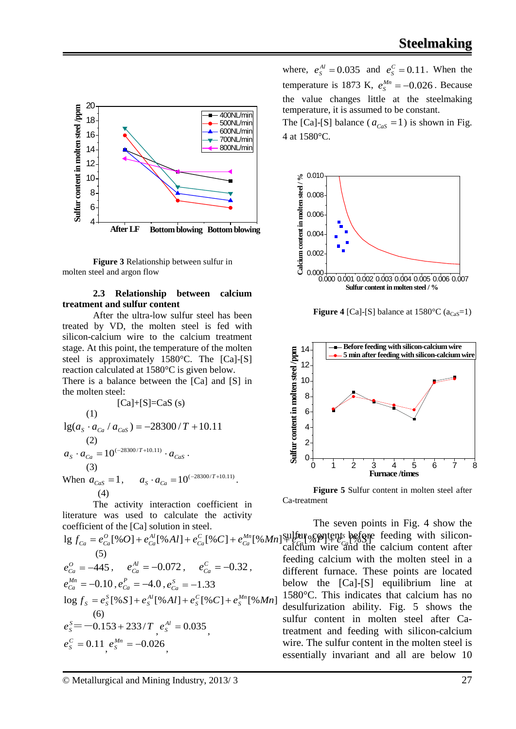

**Figure 3** Relationship between sulfur in molten steel and argon flow

#### **2.3 Relationship between calcium treatment and sulfur content**

After the ultra-low sulfur steel has been treated by VD, the molten steel is fed with [silicon-calcium wire](javascript:showjdsw() to the calcium treatment stage. At this point, the temperature of the molten steel is approximately 1580°C. The [Ca]-[S] reaction calculated at 1580°C is given below. There is a balance between the [Ca] and [S] in

the molten steel:

[Ca]+[S]=CaS (s)  
\n(1)  
\n
$$
lg(a_s \cdot a_{Ca} / a_{Cas}) = -28300/T + 10.11
$$
\n(2)  
\n
$$
a_s \cdot a_{Ca} = 10^{(-28300/T + 10.11)} \cdot a_{Cas}.
$$
\n(3)

When  $a_{Cas} = 1$ ,  $a_S \cdot a_{Ca} = 10^{(-28300/T + 10.11)}$ (4)

The activity interaction coefficient in literature was used to calculate the activity coefficient of the [Ca] solution in steel.

 $\log f_{Ca} = e_{Ca}^O[\%O] + e_{Ca}^{Al}[\%Al] + e_{Ca}^C[\%C] + e_{Ca}^{Mn}[\%Mn] + \frac{\text{Sultair}}{\text{Eqs}}$   $\log \text{m}$ *Mn Ca C Ca Al Ca*  $C_{Ca} = e_{Ca}^0 [\% O] + e_{Ca}^{Al} [\% Al] + e_{Ca}^C [\% C] + e_{Ca}^{Mn} [\% Mn]$  sulfur contents before feeding with [silicon-](javascript:showjdsw() (5)  $e_{Ca}^{O} = -445$ ,  $e_{Ca}^{Al} = -0.072$ ,  $e_{Ca}^{C} = -0.32$ ,  $e_{Ca}^{Mn} = -0.10$  ,  $e_{Ca}^{P} = -4.0$  ,  $e_{Ca}^{S} = -1.33$  $\log f_s = e_s^S \left[ \% S \right] + e_s^{Al} \left[ \% Al \right] + e_s^C \left[ \% C \right] + e_s^{Mn} \left[ \% Mn \right]$ (6)  $e_s^S = -0.153 + 233/T$ ,  $e_s^{Al} = 0.035$ ,  $e_s^C = 0.11$ ,  $e_s^{Mn} = -0.026$ ,

The [Ca]-[S] balance ( $a_{Cas} = 1$ ) is shown in Fig. 4 at 1580°C.



**Figure 4** [Ca]-[S] balance at  $1580^{\circ}$ C ( $a_{Cs}$ =1)



**Figure 5** Sulfur content in molten steel after Ca-treatment

*P Ca* The seven points in Fig. 4 show the [calcium wire](javascript:showjdsw() and the calcium content after feeding calcium with the molten steel in a different furnace. These points are located below the [Ca]-[S] equilibrium line at 1580°C. This indicates that calcium has no desulfurization ability. Fig. 5 shows the sulfur content in molten steel after Catreatment and feeding with [silicon-calcium](javascript:showjdsw()  [wire.](javascript:showjdsw() The sulfur content in the molten steel is essentially invariant and all are below 10